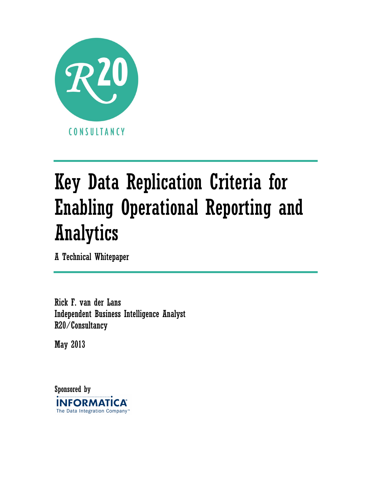

# Key Data Replication Criteria for Enabling Operational Reporting and Analytics

A Technical Whitepaper

Rick F. van der Lans Independent Business Intelligence Analyst R20/Consultancy

May 2013

Sponsored by **INFORMATICA®** The Data Integration Company<sup>®</sup>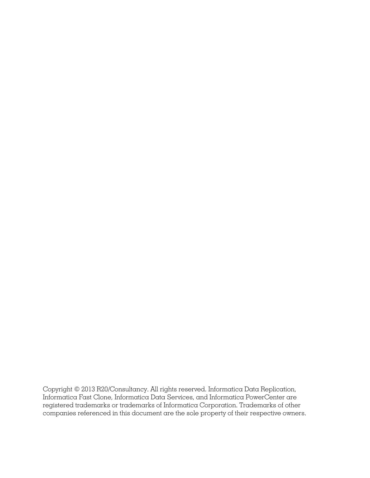Copyright © 2013 R20/Consultancy. All rights reserved. Informatica Data Replication, Informatica Fast Clone, Informatica Data Services, and Informatica PowerCenter are registered trademarks or trademarks of Informatica Corporation. Trademarks of other companies referenced in this document are the sole property of their respective owners.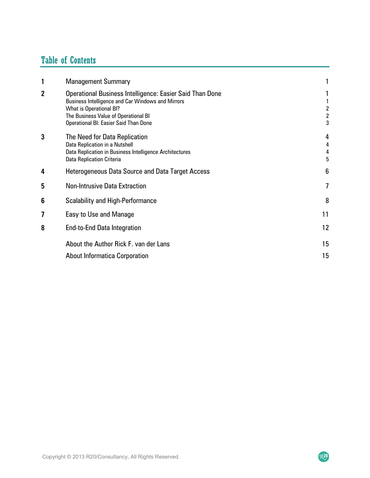## Table of Contents

| 1            | <b>Management Summary</b>                                                                                                                                                                                                                      |                                   |
|--------------|------------------------------------------------------------------------------------------------------------------------------------------------------------------------------------------------------------------------------------------------|-----------------------------------|
| $\mathbf{2}$ | Operational Business Intelligence: Easier Said Than Done<br><b>Business Intelligence and Car Windows and Mirrors</b><br><b>What is Operational BI?</b><br>The Business Value of Operational BI<br><b>Operational BI: Easier Said Than Done</b> | 2<br>$\overline{\mathbf{c}}$<br>3 |
| 3            | The Need for Data Replication<br>Data Replication in a Nutshell<br>Data Replication in Business Intelligence Architectures<br><b>Data Replication Criteria</b>                                                                                 | 4<br>4<br>4<br>5                  |
| 4            | <b>Heterogeneous Data Source and Data Target Access</b>                                                                                                                                                                                        | 6                                 |
| 5            | <b>Non-Intrusive Data Extraction</b>                                                                                                                                                                                                           | $\overline{1}$                    |
| 6            | <b>Scalability and High-Performance</b>                                                                                                                                                                                                        | 8                                 |
| 7            | Easy to Use and Manage                                                                                                                                                                                                                         | 11                                |
| 8            | <b>End-to-End Data Integration</b>                                                                                                                                                                                                             | 12                                |
|              | About the Author Rick F. van der Lans                                                                                                                                                                                                          | 15                                |
|              | <b>About Informatica Corporation</b>                                                                                                                                                                                                           | 15                                |

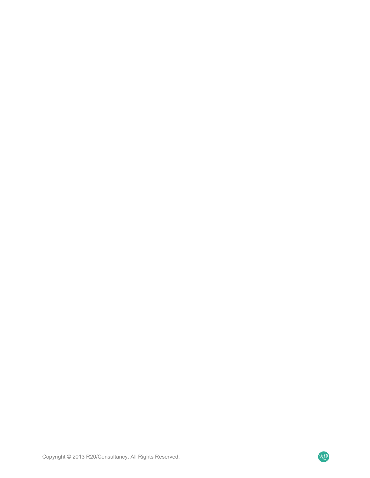R20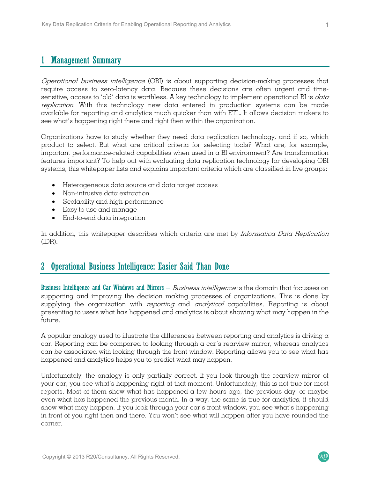## 1 Management Summary

Operational business intelligence (OBI) is about supporting decision-making processes that require access to zero-latency data. Because these decisions are often urgent and timesensitive, access to 'old' data is worthless. A key technology to implement operational BI is data replication. With this technology new data entered in production systems can be made available for reporting and analytics much quicker than with ETL. It allows decision makers to see what's happening right there and right then within the organization.

Organizations have to study whether they need data replication technology, and if so, which product to select. But what are critical criteria for selecting tools? What are, for example, important performance-related capabilities when used in  $\alpha$  BI environment? Are transformation features important? To help out with evaluating data replication technology for developing OBI systems, this whitepaper lists and explains important criteria which are classified in five groups:

- Heterogeneous data source and data target access
- Non-intrusive data extraction
- Scalability and high-performance
- Easy to use and manage
- End-to-end data integration

In addition, this whitepaper describes which criteria are met by *Informatica Data Replication* (IDR).

## 2 Operational Business Intelligence: Easier Said Than Done

Business Intelligence and Car Windows and Mirrors – *Business intelligence* is the domain that focusses on supporting and improving the decision making processes of organizations. This is done by supplying the organization with *reporting* and *analytical* capabilities. Reporting is about presenting to users what has happened and analytics is about showing what may happen in the future.

A popular analogy used to illustrate the differences between reporting and analytics is driving  $\alpha$ car. Reporting can be compared to looking through a car's rearview mirror, whereas analytics can be associated with looking through the front window. Reporting allows you to see what has happened and analytics helps you to predict what may happen.

Unfortunately, the analogy is only partially correct. If you look through the rearview mirror of your car, you see what's happening right at that moment. Unfortunately, this is not true for most reports. Most of them show what has happened a few hours ago, the previous day, or maybe even what has happened the previous month. In a way, the same is true for analytics, it should show what may happen. If you look through your car's front window, you see what's happening in front of you right then and there. You won't see what will happen after you have rounded the corner.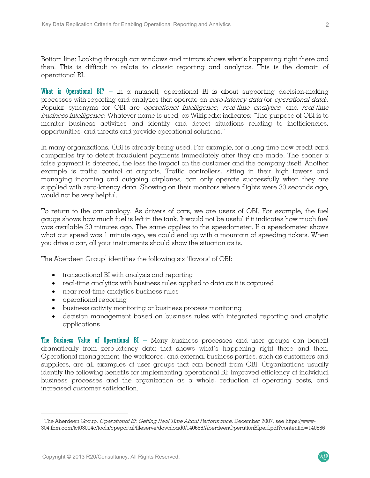Bottom line: Looking through car windows and mirrors shows what's happening right there and then. This is difficult to relate to classic reporting and analytics. This is the domain of operational BI!

What is Operational BI? – In  $\alpha$  nutshell, operational BI is about supporting decision-making processes with reporting and analytics that operate on zero-latency data (or operational data). Popular synonyms for OBI are *operational intelligence*, real-time analytics, and real-time business intelligence. Whatever name is used, as Wikipedia indicates: "The purpose of OBI is to monitor business activities and identify and detect situations relating to inefficiencies, opportunities, and threats and provide operational solutions."

In many organizations, OBI is already being used. For example, for a long time now credit card companies try to detect fraudulent payments immediately after they are made. The sooner a false payment is detected, the less the impact on the customer and the company itself. Another example is traffic control at airports. Traffic controllers, sitting in their high towers and managing incoming and outgoing airplanes, can only operate successfully when they are supplied with zero-latency data. Showing on their monitors where flights were 30 seconds ago, would not be very helpful.

To return to the car analogy. As drivers of cars, we are users of OBI. For example, the fuel gauge shows how much fuel is left in the tank. It would not be useful if it indicates how much fuel was available 30 minutes ago. The same applies to the speedometer. If a speedometer shows what our speed was 1 minute ago, we could end up with a mountain of speeding tickets. When you drive a car, all your instruments should show the situation as is.

The Aberdeen Group $^{\rm l}$  identifies the following six "flavors" of OBI:

- transactional BI with analysis and reporting
- real-time analytics with business rules applied to data as it is captured
- near real-time analytics business rules
- operational reporting

 $\overline{a}$ 

- business activity monitoring or business process monitoring
- decision management based on business rules with integrated reporting and analytic applications

The Business Value of Operational  $BI -$  Many business processes and user groups can benefit dramatically from zero-latency data that shows what's happening right there and then. Operational management, the workforce, and external business parties, such as customers and suppliers, are all examples of user groups that can benefit from OBI. Organizations usually identify the following benefits for implementing operational BI: improved efficiency of individual business processes and the organization as a whole, reduction of operating costs, and increased customer satisfaction.

 $^{\rm 1}$  The Aberdeen Group, *Operational BI: Getting Real Time About Performance,* December 2007, see https://www-304.ibm.com/jct03004c/tools/cpeportal/fileserve/download0/140686/AberdeenOperationBIperf.pdf?contentid=140686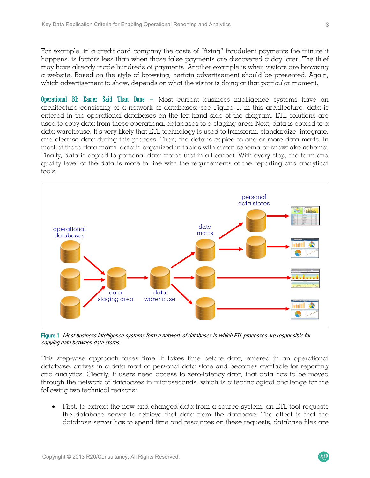For example, in a credit card company the costs of "fixing" fraudulent payments the minute it happens, is factors less than when those false payments are discovered a day later. The thief may have already made hundreds of payments. Another example is when visitors are browsing a website. Based on the style of browsing, certain advertisement should be presented. Again, which advertisement to show, depends on what the visitor is doing at that particular moment.

**Operational BI: Easier Said Than Done** – Most current business intelligence systems have an architecture consisting of a network of databases; see Figure 1. In this architecture, data is entered in the operational databases on the left-hand side of the diagram. ETL solutions are used to copy data from these operational databases to a staging area. Next, data is copied to  $\alpha$ data warehouse. It's very likely that ETL technology is used to transform, standardize, integrate, and cleanse data during this process. Then, the data is copied to one or more data marts. In most of these data marts, data is organized in tables with a star schema or snowflake schema. Finally, data is copied to personal data stores (not in all cases). With every step, the form and quality level of the data is more in line with the requirements of the reporting and analytical tools.



Figure 1 Most business intelligence systems form a network of databases in which ETL processes are responsible for copying data between data stores.

This step-wise approach takes time. It takes time before data, entered in an operational database, arrives in a data mart or personal data store and becomes available for reporting and analytics. Clearly, if users need access to zero-latency data, that data has to be moved through the network of databases in microseconds, which is a technological challenge for the following two technical reasons:

First, to extract the new and changed data from a source system, an ETL tool requests the database server to retrieve that data from the database. The effect is that the database server has to spend time and resources on these requests, database files are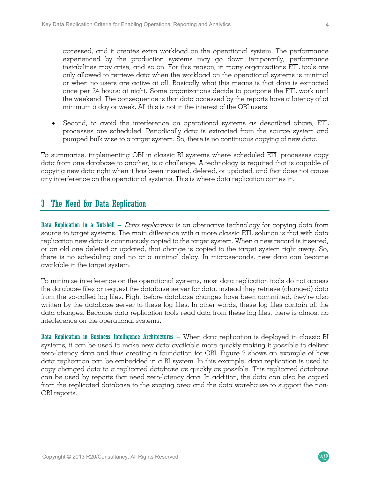$R^{20}$ 

accessed, and it creates extra workload on the operational system. The performance experienced by the production systems may go down temporarily, performance instabilities may arise, and so on. For this reason, in many organizations ETL tools are only allowed to retrieve data when the workload on the operational systems is minimal or when no users are active at all. Basically what this means is that data is extracted once per 24 hours: at night. Some organizations decide to postpone the ETL work until the weekend. The consequence is that data accessed by the reports have a latency of at minimum a day or week. All this is not in the interest of the OBI users.

• Second, to avoid the interference on operational systems as described above, ETL processes are scheduled. Periodically data is extracted from the source system and pumped bulk wise to a target system. So, there is no continuous copying of new data.

To summarize, implementing OBI in classic BI systems where scheduled ETL processes copy data from one database to another, is a challenge. A technology is required that is capable of copying new data right when it has been inserted, deleted, or updated, and that does not cause any interference on the operational systems. This is where data replication comes in.

## 3 The Need for Data Replication

**Data Replication in a Nutshell** – Data replication is an alternative technology for copying data from source to target systems. The main difference with a more classic ETL solution is that with data  $r$ eplication new data is continuously copied to the target system. When  $\alpha$  new record is inserted, or an old one deleted or updated, that change is copied to the target system right away. So, there is no scheduling and no or a minimal delay. In microseconds, new data can become available in the target system.

To minimize interference on the operational systems, most data replication tools do not access the database files or request the database server for data, instead they retrieve (changed) data from the so-called log files. Right before database changes have been committed, they're also written by the database server to these log files. In other words, these log files contain all the data changes. Because data replication tools read data from these log files, there is almost no interference on the operational systems.

Data Replication in Business Intelligence Architectures - When data replication is deployed in classic BI systems, it can be used to make new data available more quickly making it possible to deliver zero-latency data and thus creating a foundation for OBI. Figure 2 shows an example of how data replication can be embedded in  $\alpha$  BI system. In this example, data replication is used to copy changed data to a replicated database as quickly as possible. This replicated database can be used by reports that need zero-latency data. In addition, the data can also be copied from the replicated database to the staging area and the data warehouse to support the non-OBI reports.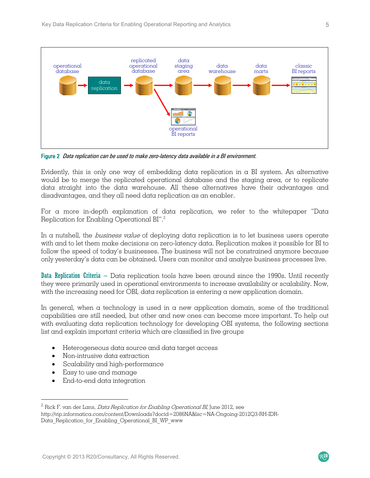

Figure 2 Data replication can be used to make zero-latency data available in a BI environment.

Evidently, this is only one way of embedding data replication in  $\alpha$  BI system. An alternative would be to merge the replicated operational database and the staging area, or to replicate data straight into the data warehouse. All these alternatives have their advantages and disadvantages, and they all need data replication as an enabler.

For a more in-depth explanation of data replication, we refer to the whitepaper "Data Replication for Enabling Operational BI".<sup>2</sup>

In a nutshell, the business value of deploying data replication is to let business users operate with and to let them make decisions on zero-latency data. Replication makes it possible for BI to follow the speed of today's businesses. The business will not be constrained anymore because only yesterday's data can be obtained. Users can monitor and analyze business processes live.

Data Replication Criteria – Data replication tools have been around since the 1990s. Until recently they were primarily used in operational environments to increase availability or scalability. Now, with the increasing need for OBI, data replication is entering  $\alpha$  new application domain.

In general, when a technology is used in a new application domain, some of the traditional capabilities are still needed, but other and new ones can become more important. To help out with evaluating data replication technology for developing OBI systems, the following sections list and explain important criteria which are classified in five groups

- Heterogeneous data source and data target access
- Non-intrusive data extraction
- Scalability and high-performance
- Easy to use and manage

 $\overline{a}$ 

• End-to-end data integration

 $\overline{\mathcal{R}}$ 20

 $2^2$  Rick F. van der Lans, *Data Replication for Enabling Operational BI*, June 2012, see http://vip.informatica.com/content/Downloads?docid=2086NA&lsc=NA-Ongoing-2012Q3-RH-IDR-Data Replication for Enabling Operational BI WP www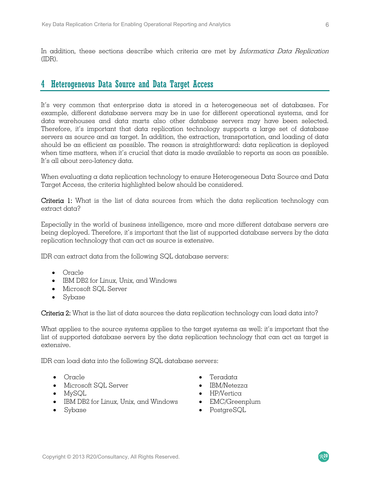$\overline{\mathcal{R}}$ 20

In addition, these sections describe which criteria are met by Informatica Data Replication (IDR).

## 4 Heterogeneous Data Source and Data Target Access

It's very common that enterprise data is stored in a heterogeneous set of databases. For example, different database servers may be in use for different operational systems, and for data warehouses and data marts also other database servers may have been selected. Therefore, it's important that data replication technology supports a large set of database servers as source and as target. In addition, the extraction, transportation, and loading of data should be as efficient as possible. The reason is straightforward: data replication is deployed when time matters, when it's crucial that data is made available to reports as soon as possible. It's all about zero-latency data.

When evaluating a data replication technology to ensure Heterogeneous Data Source and Data Target Access, the criteria highlighted below should be considered.

Criteria 1: What is the list of data sources from which the data replication technology can extract data?

Especially in the world of business intelligence, more and more different database servers are being deployed. Therefore, it's important that the list of supported database servers by the data replication technology that can act as source is extensive.

IDR can extract data from the following SQL database servers:

- Oracle
- IBM DB2 for Linux, Unix, and Windows
- Microsoft SQL Server
- Sybase

Criteria 2: What is the list of data sources the data replication technology can load data into?

What applies to the source systems applies to the target systems as well: it's important that the list of supported database servers by the data replication technology that can act as target is extensive.

IDR can load data into the following SQL database servers:

- Oracle
- Microsoft SQL Server
- MySQL
- IBM DB2 for Linux, Unix, and Windows
- Sybase
- Teradata
- IBM/Netezza
- HP/Vertica
- EMC/Greenplum
- PostgreSQL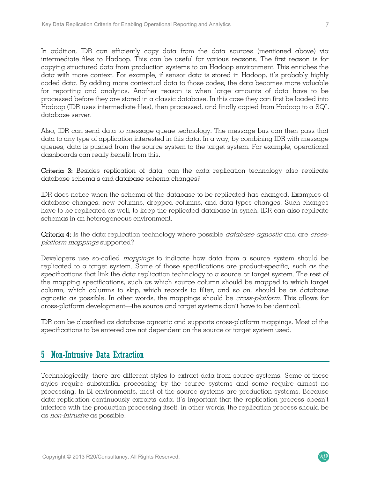In addition, IDR can efficiently copy data from the data sources (mentioned above) via intermediate files to Hadoop. This can be useful for various reasons. The first reason is for copying structured data from production systems to an Hadoop environment. This enriches the data with more context. For example, if sensor data is stored in Hadoop, it's probably highly coded data. By adding more contextual data to those codes, the data becomes more valuable for reporting and analytics. Another reason is when large amounts of data have to be processed before they are stored in a classic database. In this case they can first be loaded into Hadoop (IDR uses intermediate files), then processed, and finally copied from Hadoop to a  $\text{SQL}$ database server.

Also, IDR can send data to message queue technology. The message bus can then pass that data to any type of application interested in this data. In a way, by combining IDR with message queues, data is pushed from the source system to the target system. For example, operational dashboards can really benefit from this.

Criteria 3: Besides replication of data, can the data replication technology also replicate database schema's and database schema changes?

IDR does notice when the schema of the database to be replicated has changed. Examples of database changes: new columns, dropped columns, and data types changes. Such changes have to be replicated as well, to keep the replicated database in synch. IDR can also replicate schemas in an heterogeneous environment.

Criteria 4: Is the data replication technology where possible *database agnostic* and are *cross*platform mappings supported?

Developers use so-called *mappings* to indicate how data from a source system should be replicated to a target system. Some of those specifications are product-specific, such as the specifications that link the data replication technology to a source or target system. The rest of the mapping specifications, such as which source column should be mapped to which target column, which columns to skip, which records to filter, and so on, should be as database agnostic as possible. In other words, the mappings should be cross-platform. This allows for cross-platform development—the source and target systems don't have to be identical.

IDR can be classified as database agnostic and supports cross-platform mappings. Most of the specifications to be entered are not dependent on the source or target system used.

## 5 Non-Intrusive Data Extraction

Technologically, there are different styles to extract data from source systems. Some of these styles require substantial processing by the source systems and some require almost no processing. In BI environments, most of the source systems are production systems. Because data replication continuously extracts data, it's important that the replication process doesn't interfere with the production processing itself. In other words, the replication process should be as non-intrusive as possible.

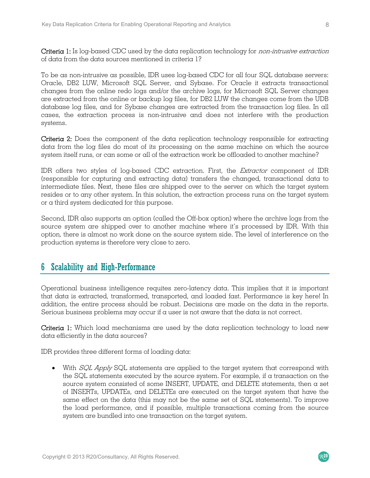Criteria 1: Is log-based CDC used by the data replication technology for *non-intrusive extraction* of data from the data sources mentioned in criteria 1?

To be as non-intrusive as possible, IDR uses log-based CDC for all four SQL database servers: Oracle, DB2 LUW, Microsoft SQL Server, and Sybase. For Oracle it extracts transactional changes from the online redo logs and/or the archive logs, for Microsoft SQL Server changes are extracted from the online or backup log files, for DB2 LUW the changes come from the UDB database log files, and for Sybase changes are extracted from the transaction log files. In all cases, the extraction process is non-intrusive and does not interfere with the production systems.

Criteria 2: Does the component of the data replication technology responsible for extracting data from the log files do most of its processing on the same machine on which the source system itself runs, or can some or all of the extraction work be offloaded to another machine?

IDR offers two styles of log-based CDC extraction. First, the Extractor component of IDR (responsible for capturing and extracting data) transfers the changed, transactional data to intermediate files. Next, these files are shipped over to the server on which the target system resides or to any other system. In this solution, the extraction process runs on the target system or a third system dedicated for this purpose.

Second, IDR also supports an option (called the Off-box option) where the archive logs from the source system are shipped over to another machine where it's processed by IDR. With this option, there is almost no work done on the source system side. The level of interference on the production systems is therefore very close to zero.

## 6 Scalability and High-Performance

Operational business intelligence requites zero-latency data. This implies that it is important that data is extracted, transformed, transported, and loaded fast. Performance is key here! In addition, the entire process should be robust. Decisions are made on the data in the reports. Serious business problems may occur if a user is not aware that the data is not correct.

Criteria 1: Which load mechanisms are used by the data replication technology to load new data efficiently in the data sources?

IDR provides three different forms of loading data:

With SQL Apply SQL statements are applied to the target system that correspond with the SQL statements executed by the source system. For example, if a transaction on the source system consisted of some INSERT, UPDATE, and DELETE statements, then a set of INSERTs, UPDATEs, and DELETEs are executed on the target system that have the same effect on the data (this may not be the same set of SQL statements). To improve the load performance, and if possible, multiple transactions coming from the source system are bundled into one transaction on the target system.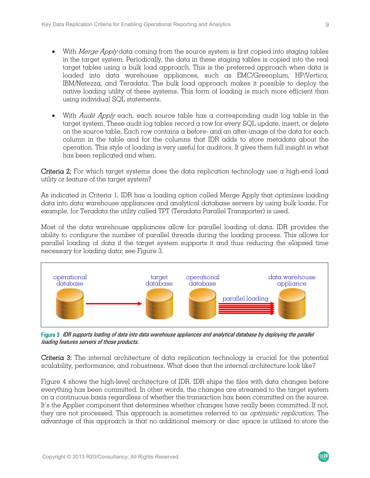- With *Merge Apply* data coming from the source system is first copied into staging tables in the target system. Periodically, the data in these staging tables is copied into the real target tables using a bulk load approach. This is the preferred approach when data is loaded into data warehouse appliances, such as EMC/Greenplum, HP/Vertica, IBM/Netezza, and Teradata. The bulk load approach makes it possible to deploy the native loading utility of these systems. This form of loading is much more efficient than using individual SQL statements.
- With Audit Apply each, each source table has a corresponding audit log table in the target system. These audit log tables record a row for every SQL update, insert, or delete on the source table. Each row contains a before- and an after-image of the data for each column in the table and for the columns that IDR adds to store metadata about the operation. This style of loading is very useful for auditors. It gives them full insight in what has been replicated and when.

Criteria 2: For which target systems does the data replication technology use a high-end load utility or feature of the target system?

As indicated in Criteria 1, IDR has a loading option called Merge Apply that optimizes loading data into data warehouse appliances and analytical database servers by using bulk loads. For example, for Teradata the utility called TPT (Teradata Parallel Transporter) is used.

Most of the data warehouse appliances allow for parallel loading of data. IDR provides the ability to configure the number of parallel threads during the loading process. This allows for parallel loading of data if the target system supports it and thus reducing the elapsed time necessary for loading data; see Figure 3.



Figure 3 IDR supports loading of data into data warehouse appliances and analytical database by deploying the parallel loading features servers of those products.

Criteria 3: The internal architecture of data replication technology is crucial for the potential scalability, performance, and robustness. What does that the internal architecture look like?

Figure 4 shows the high-level architecture of IDR. IDR ships the files with data changes before everything has been committed. In other words, the changes are streamed to the target system on a continuous basis regardless of whether the transaction has been committed on the source. It's the Applier component that determines whether changes have really been committed. If not, they are not processed. This approach is sometimes referred to as *optimistic replication*. The advantage of this approach is that no additional memory or disc space is utilized to store the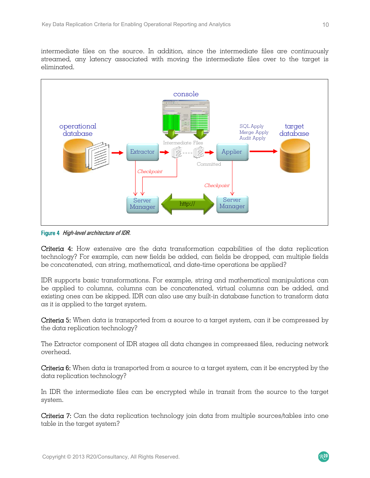intermediate files on the source. In addition, since the intermediate files are continuously streamed, any latency associated with moving the intermediate files over to the target is eliminated.



Figure 4 High-level architecture of IDR.

Criteria 4: How extensive are the data transformation capabilities of the data replication technology? For example, can new fields be added, can fields be dropped, can multiple fields be concatenated, can string, mathematical, and date-time operations be applied?

IDR supports basic transformations. For example, string and mathematical manipulations can be applied to columns, columns can be concatenated, virtual columns can be added, and existing ones can be skipped. IDR can also use any built-in database function to transform data as it is applied to the target system.

Criteria 5: When data is transported from a source to a target system, can it be compressed by the data replication technology?

The Extractor component of IDR stages all data changes in compressed files, reducing network overhead.

**Criteria 6:** When data is transported from a source to a target system, can it be encrypted by the data replication technology?

In IDR the intermediate files can be encrypted while in transit from the source to the target system.

Criteria 7: Can the data replication technology join data from multiple sources/tables into one table in the target system?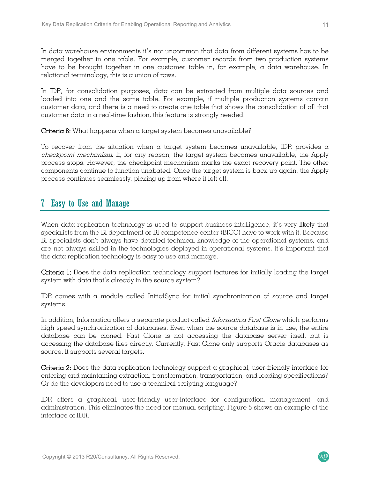In data warehouse environments it's not uncommon that data from different systems has to be merged together in one table. For example, customer records from two production systems have to be brought together in one customer table in, for example, a data warehouse. In relational terminology, this is a union of rows.

In IDR, for consolidation purposes, data can be extracted from multiple data sources and loaded into one and the same table. For example, if multiple production systems contain customer data, and there is a need to create one table that shows the consolidation of all that customer data in a real-time fashion, this feature is strongly needed.

Criteria 8: What happens when a target system becomes unavailable?

To recover from the situation when a target system becomes unavailable, IDR provides  $\alpha$ checkpoint mechanism. If, for any reason, the target system becomes unavailable, the Apply process stops. However, the checkpoint mechanism marks the exact recovery point. The other components continue to function unabated. Once the target system is back up again, the Apply process continues seamlessly, picking up from where it left off.

## 7 Easy to Use and Manage

When data replication technology is used to support business intelligence, it's very likely that specialists from the BI department or BI competence center (BICC) have to work with it. Because BI specialists don't always have detailed technical knowledge of the operational systems, and are not always skilled in the technologies deployed in operational systems, it's important that the data replication technology is easy to use and manage.

Criteria 1: Does the data replication technology support features for initially loading the target system with data that's already in the source system?

IDR comes with a module called InitialSync for initial synchronization of source and target systems.

In addition, Informatica offers a separate product called *Informatica Fast Clone* which performs high speed synchronization of databases. Even when the source database is in use, the entire database can be cloned. Fast Clone is not accessing the database server itself, but is accessing the database files directly. Currently, Fast Clone only supports Oracle databases as source. It supports several targets.

Criteria 2: Does the data replication technology support a graphical, user-friendly interface for entering and maintaining extraction, transformation, transportation, and loading specifications? Or do the developers need to use a technical scripting language?

IDR offers a graphical, user-friendly user-interface for configuration, management, and administration. This eliminates the need for manual scripting. Figure 5 shows an example of the interface of IDR.

 $\overline{\mathcal{R}}$ 20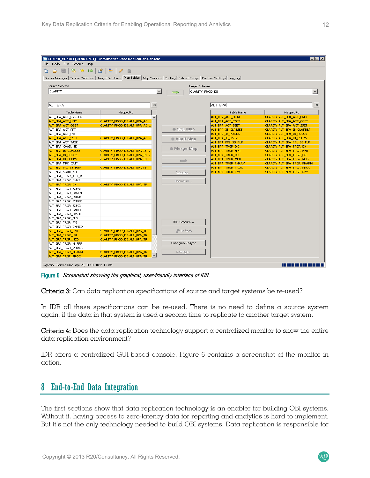| $\mathbb{B}$  <br>ie-<br>Í<br>曲<br>Server Manager   Source Database   Target Database   Map Tables   Map Columns   Routing   Extract Range   Runtime Settings   Logging  <br>$\overline{\phantom{a}}$<br>$\times$<br>Mapped to<br>CLARITY_PROD_DB.ALT_BPA_AC<br>CLARITY_PROD_DB.ALT_BPA_AC<br>CLARITY_PROD_DB.ALT_BPA_AC | Target Schema<br>CLARITY_PROD_DB<br>$\Rightarrow$<br>● SQL Map<br>Audit Map                                                                                                                                                                                                                                                    | ALT_BPA<br>Table Name<br>ALT_BPA_ACT_HMM<br>ALT_BPA_ACT_OSET<br>ALT_BPA_ACT_SSET<br>ALT_BPA_IB_CLASSES<br>ALT_BPA_IB_POOLS | $\overline{\phantom{a}}$<br>$\times$<br>Mapped to<br>CLARITY.ALT_BPA_ACT_HMM<br>CLARITY.ALT_BPA_ACT_OSET<br>CLARITY.ALT_BPA_ACT_SSET |
|--------------------------------------------------------------------------------------------------------------------------------------------------------------------------------------------------------------------------------------------------------------------------------------------------------------------------|--------------------------------------------------------------------------------------------------------------------------------------------------------------------------------------------------------------------------------------------------------------------------------------------------------------------------------|----------------------------------------------------------------------------------------------------------------------------|--------------------------------------------------------------------------------------------------------------------------------------|
|                                                                                                                                                                                                                                                                                                                          |                                                                                                                                                                                                                                                                                                                                |                                                                                                                            |                                                                                                                                      |
|                                                                                                                                                                                                                                                                                                                          |                                                                                                                                                                                                                                                                                                                                |                                                                                                                            |                                                                                                                                      |
|                                                                                                                                                                                                                                                                                                                          |                                                                                                                                                                                                                                                                                                                                |                                                                                                                            |                                                                                                                                      |
|                                                                                                                                                                                                                                                                                                                          |                                                                                                                                                                                                                                                                                                                                |                                                                                                                            |                                                                                                                                      |
|                                                                                                                                                                                                                                                                                                                          |                                                                                                                                                                                                                                                                                                                                |                                                                                                                            |                                                                                                                                      |
|                                                                                                                                                                                                                                                                                                                          |                                                                                                                                                                                                                                                                                                                                |                                                                                                                            |                                                                                                                                      |
|                                                                                                                                                                                                                                                                                                                          |                                                                                                                                                                                                                                                                                                                                |                                                                                                                            |                                                                                                                                      |
|                                                                                                                                                                                                                                                                                                                          |                                                                                                                                                                                                                                                                                                                                |                                                                                                                            |                                                                                                                                      |
|                                                                                                                                                                                                                                                                                                                          |                                                                                                                                                                                                                                                                                                                                |                                                                                                                            | CLARITY.ALT_BPA_IB_CLASSES                                                                                                           |
|                                                                                                                                                                                                                                                                                                                          |                                                                                                                                                                                                                                                                                                                                |                                                                                                                            | CLARITY.ALT_BPA_IB_POOLS                                                                                                             |
|                                                                                                                                                                                                                                                                                                                          |                                                                                                                                                                                                                                                                                                                                | ALT_BPA_IB_USERS                                                                                                           | CLARITY.ALT_BPA_IB_USERS                                                                                                             |
|                                                                                                                                                                                                                                                                                                                          |                                                                                                                                                                                                                                                                                                                                | ALT_BPA_PRL_SS_FUP                                                                                                         | CLARITY.ALT_BPA_PRL_SS_FUP                                                                                                           |
|                                                                                                                                                                                                                                                                                                                          |                                                                                                                                                                                                                                                                                                                                | ALT BPA TRGR DX                                                                                                            | CLARITY.ALT_BPA_TRGR_DX                                                                                                              |
| CLARITY_PROD_DB.ALT_BPA_IB                                                                                                                                                                                                                                                                                               | Merge Map                                                                                                                                                                                                                                                                                                                      | ALT_BPA_TRGR_HMT                                                                                                           | CLARITY.ALT_BPA_TRGR_HMT                                                                                                             |
|                                                                                                                                                                                                                                                                                                                          |                                                                                                                                                                                                                                                                                                                                |                                                                                                                            | CLARITY.ALT BPA TRGR LGL                                                                                                             |
|                                                                                                                                                                                                                                                                                                                          |                                                                                                                                                                                                                                                                                                                                |                                                                                                                            | CLARITY.ALT_BPA_TRGR_MED                                                                                                             |
|                                                                                                                                                                                                                                                                                                                          |                                                                                                                                                                                                                                                                                                                                |                                                                                                                            | CLARITY.ALT BPA TRGR PHARM                                                                                                           |
|                                                                                                                                                                                                                                                                                                                          |                                                                                                                                                                                                                                                                                                                                |                                                                                                                            | CLARITY.ALT BPA TRGR PROC                                                                                                            |
|                                                                                                                                                                                                                                                                                                                          |                                                                                                                                                                                                                                                                                                                                |                                                                                                                            | CLARITY.ALT_BPA_TRGR_RFV                                                                                                             |
|                                                                                                                                                                                                                                                                                                                          |                                                                                                                                                                                                                                                                                                                                |                                                                                                                            |                                                                                                                                      |
|                                                                                                                                                                                                                                                                                                                          |                                                                                                                                                                                                                                                                                                                                |                                                                                                                            |                                                                                                                                      |
|                                                                                                                                                                                                                                                                                                                          |                                                                                                                                                                                                                                                                                                                                |                                                                                                                            |                                                                                                                                      |
|                                                                                                                                                                                                                                                                                                                          |                                                                                                                                                                                                                                                                                                                                |                                                                                                                            |                                                                                                                                      |
|                                                                                                                                                                                                                                                                                                                          |                                                                                                                                                                                                                                                                                                                                |                                                                                                                            |                                                                                                                                      |
|                                                                                                                                                                                                                                                                                                                          |                                                                                                                                                                                                                                                                                                                                |                                                                                                                            |                                                                                                                                      |
|                                                                                                                                                                                                                                                                                                                          |                                                                                                                                                                                                                                                                                                                                |                                                                                                                            |                                                                                                                                      |
|                                                                                                                                                                                                                                                                                                                          |                                                                                                                                                                                                                                                                                                                                |                                                                                                                            |                                                                                                                                      |
|                                                                                                                                                                                                                                                                                                                          |                                                                                                                                                                                                                                                                                                                                |                                                                                                                            |                                                                                                                                      |
|                                                                                                                                                                                                                                                                                                                          |                                                                                                                                                                                                                                                                                                                                |                                                                                                                            |                                                                                                                                      |
|                                                                                                                                                                                                                                                                                                                          |                                                                                                                                                                                                                                                                                                                                |                                                                                                                            |                                                                                                                                      |
|                                                                                                                                                                                                                                                                                                                          | DDL Capture                                                                                                                                                                                                                                                                                                                    |                                                                                                                            |                                                                                                                                      |
|                                                                                                                                                                                                                                                                                                                          |                                                                                                                                                                                                                                                                                                                                |                                                                                                                            |                                                                                                                                      |
|                                                                                                                                                                                                                                                                                                                          |                                                                                                                                                                                                                                                                                                                                |                                                                                                                            |                                                                                                                                      |
|                                                                                                                                                                                                                                                                                                                          |                                                                                                                                                                                                                                                                                                                                |                                                                                                                            |                                                                                                                                      |
|                                                                                                                                                                                                                                                                                                                          |                                                                                                                                                                                                                                                                                                                                |                                                                                                                            |                                                                                                                                      |
|                                                                                                                                                                                                                                                                                                                          | Configure Resync                                                                                                                                                                                                                                                                                                               |                                                                                                                            |                                                                                                                                      |
|                                                                                                                                                                                                                                                                                                                          |                                                                                                                                                                                                                                                                                                                                |                                                                                                                            |                                                                                                                                      |
|                                                                                                                                                                                                                                                                                                                          |                                                                                                                                                                                                                                                                                                                                |                                                                                                                            |                                                                                                                                      |
|                                                                                                                                                                                                                                                                                                                          |                                                                                                                                                                                                                                                                                                                                |                                                                                                                            |                                                                                                                                      |
|                                                                                                                                                                                                                                                                                                                          | CLARITY PROD DB.ALT BPA IB<br>CLARITY_PROD_DB.ALT_BPA_IB<br>CLARITY PROD DB.ALT BPA PR<br>CLARITY_PROD_DB.ALT_BPA_TR<br>CLARITY_PROD_DB.ALT_BPA_TR<br>CLARITY_PROD_DB.ALT_BPA_TR<br>CLARITY_PROD_DB.ALT_BPA_TR<br>CLARITY_PROD_DB.ALT_BPA_TR<br>CLARITY PROD DB.ALT BPA TR<br>jygarcia   Server Time: Apr 23, 2013 10:44:17 AM | $\implies$<br>Automap<br>Unmap All<br>Refresh<br>Settings                                                                  | ALT BPA TRGR LGL<br>ALT_BPA_TRGR_MED<br>ALT BPA TRGR PHARM<br>ALT BPA TRGR PROC<br>ALT_BPA_TRGR_RFV                                  |

Figure 5 Screenshot showing the graphical, user-friendly interface of IDR.

Criteria 3: Can data replication specifications of source and target systems be re-used?

In IDR all these specifications can be re-used. There is no need to define a source system  $\alpha$  again, if the data in that system is used  $\alpha$  second time to replicate to another target system.

Criteria 4: Does the data replication technology support a centralized monitor to show the entire data replication environment?

IDR offers a centralized GUI-based console. Figure 6 contains a screenshot of the monitor in action.

## 8 End-to-End Data Integration

The first sections show that data replication technology is an enabler for building OBI systems. Without it, having access to zero-latency data for reporting and analytics is hard to implement. But it's not the only technology needed to build OBI systems. Data replication is responsible for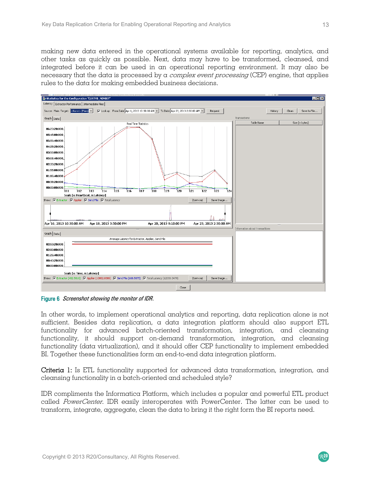making new data entered in the operational systems available for reporting, analytics, and other tasks as quickly as possible. Next, data may have to be transformed, cleansed, and integrated before it can be used in an operational reporting environment. It may also be necessary that the data is processed by a *complex event processing* (CEP) engine, that applies rules to the data for making embedded business decisions.



Figure 6 Screenshot showing the monitor of IDR.

In other words, to implement operational analytics and reporting, data replication alone is not sufficient. Besides data replication, a data integration platform should also support ETL functionality for advanced batch-oriented transformation, integration, and cleansing functionality, it should support on-demand transformation, integration, and cleansing functionality (data virtualization), and it should offer CEP functionality to implement embedded BI. Together these functionalities form an end-to-end data integration platform.

Criteria 1: Is ETL functionality supported for advanced data transformation, integration, and cleansing functionality in a batch-oriented and scheduled style?

IDR compliments the Informatica Platform, which includes a popular and powerful ETL product called PowerCenter. IDR easily interoperates with PowerCenter. The latter can be used to transform, integrate, aggregate, clean the data to bring it the right form the BI reports need.

 $\overline{\mathcal{R}}$ 20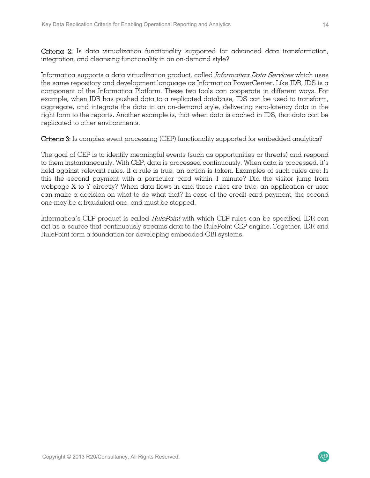Criteria 2: Is data virtualization functionality supported for advanced data transformation, integration, and cleansing functionality in an on-demand style?

Informatica supports a data virtualization product, called Informatica Data Services which uses the same repository and development language as Informatica PowerCenter. Like IDR, IDS is a component of the Informatica Platform. These two tools can cooperate in different ways. For example, when IDR has pushed data to a replicated database, IDS can be used to transform, aggregate, and integrate the data in an on-demand style, delivering zero-latency data in the right form to the reports. Another example is, that when data is cached in IDS, that data can be replicated to other environments.

Criteria 3: Is complex event processing (CEP) functionality supported for embedded analytics?

The goal of CEP is to identify meaningful events (such as opportunities or threats) and respond to them instantaneously. With CEP, data is processed continuously. When data is processed, it's held against relevant rules. If a rule is true, an action is taken. Examples of such rules are: Is this the second payment with a particular card within 1 minute? Did the visitor jump from webpage X to Y directly? When data flows in and these rules are true, an application or user can make a decision on what to do what that? In case of the credit card payment, the second one may be a fraudulent one, and must be stopped.

Informatica's CEP product is called RulePoint with which CEP rules can be specified. IDR can act as a source that continuously streams data to the RulePoint CEP engine. Together, IDR and RulePoint form a foundation for developing embedded OBI systems.